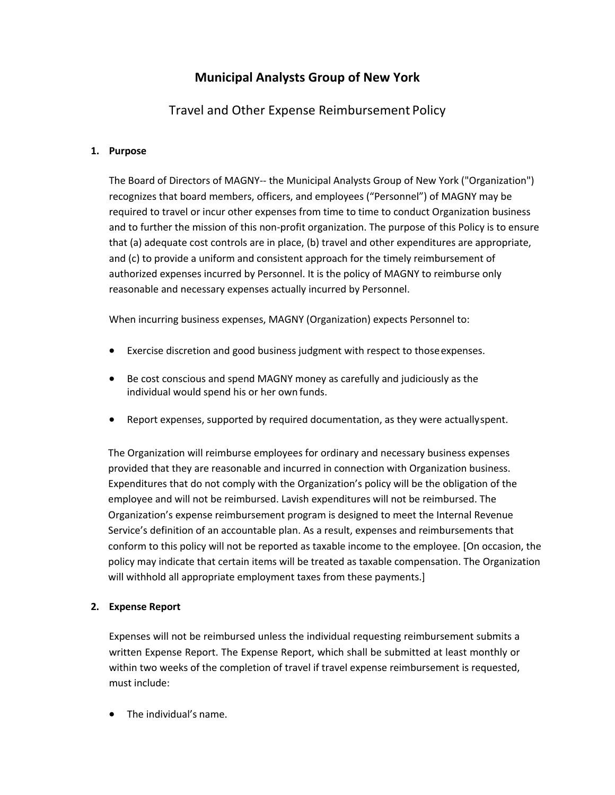# **Municipal Analysts Group of New York**

# Travel and Other Expense Reimbursement Policy

### **1. Purpose**

The Board of Directors of MAGNY-- the Municipal Analysts Group of New York ("Organization") recognizes that board members, officers, and employees ("Personnel") of MAGNY may be required to travel or incur other expenses from time to time to conduct Organization business and to further the mission of this non-profit organization. The purpose of this Policy is to ensure that (a) adequate cost controls are in place, (b) travel and other expenditures are appropriate, and (c) to provide a uniform and consistent approach for the timely reimbursement of authorized expenses incurred by Personnel. It is the policy of MAGNY to reimburse only reasonable and necessary expenses actually incurred by Personnel.

When incurring business expenses, MAGNY (Organization) expects Personnel to:

- Exercise discretion and good business judgment with respect to thoseexpenses.
- Be cost conscious and spend MAGNY money as carefully and judiciously as the individual would spend his or her own funds.
- Report expenses, supported by required documentation, as they were actuallyspent.

The Organization will reimburse employees for ordinary and necessary business expenses provided that they are reasonable and incurred in connection with Organization business. Expenditures that do not comply with the Organization's policy will be the obligation of the employee and will not be reimbursed. Lavish expenditures will not be reimbursed. The Organization's expense reimbursement program is designed to meet the Internal Revenue Service's definition of an accountable plan. As a result, expenses and reimbursements that conform to this policy will not be reported as taxable income to the employee. [On occasion, the policy may indicate that certain items will be treated as taxable compensation. The Organization will withhold all appropriate employment taxes from these payments.]

#### **2. Expense Report**

Expenses will not be reimbursed unless the individual requesting reimbursement submits a written Expense Report. The Expense Report, which shall be submitted at least monthly or within two weeks of the completion of travel if travel expense reimbursement is requested, must include:

• The individual's name.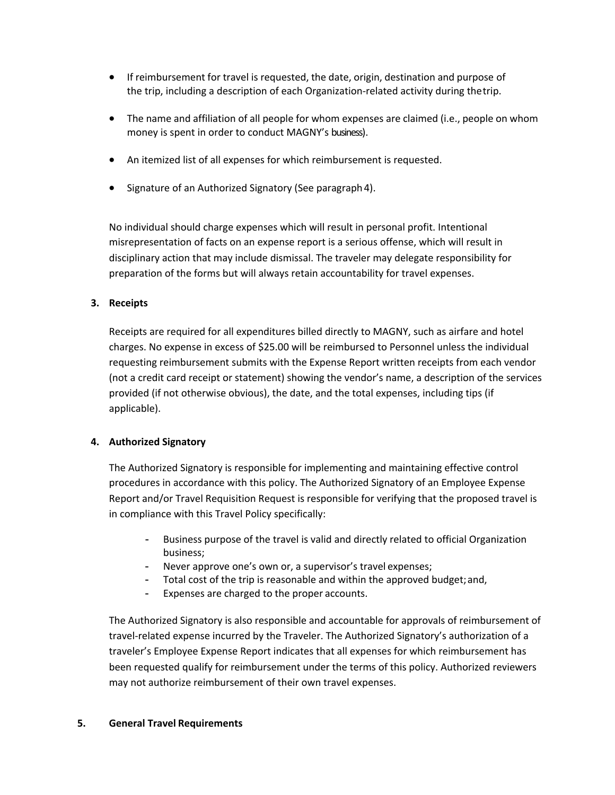- If reimbursement for travel is requested, the date, origin, destination and purpose of the trip, including a description of each Organization-related activity during thetrip.
- The name and affiliation of all people for whom expenses are claimed (i.e., people on whom money is spent in order to conduct MAGNY's business).
- An itemized list of all expenses for which reimbursement is requested.
- Signature of an Authorized Signatory (See paragraph 4).

No individual should charge expenses which will result in personal profit. Intentional misrepresentation of facts on an expense report is a serious offense, which will result in disciplinary action that may include dismissal. The traveler may delegate responsibility for preparation of the forms but will always retain accountability for travel expenses.

### **3. Receipts**

Receipts are required for all expenditures billed directly to MAGNY, such as airfare and hotel charges. No expense in excess of \$25.00 will be reimbursed to Personnel unless the individual requesting reimbursement submits with the Expense Report written receipts from each vendor (not a credit card receipt or statement) showing the vendor's name, a description of the services provided (if not otherwise obvious), the date, and the total expenses, including tips (if applicable).

### **4. Authorized Signatory**

The Authorized Signatory is responsible for implementing and maintaining effective control procedures in accordance with this policy. The Authorized Signatory of an Employee Expense Report and/or Travel Requisition Request is responsible for verifying that the proposed travel is in compliance with this Travel Policy specifically:

- Business purpose of the travel is valid and directly related to official Organization business;
- Never approve one's own or, a supervisor's travel expenses;
- Total cost of the trip is reasonable and within the approved budget;and,
- Expenses are charged to the proper accounts.

The Authorized Signatory is also responsible and accountable for approvals of reimbursement of travel-related expense incurred by the Traveler. The Authorized Signatory's authorization of a traveler's Employee Expense Report indicates that all expenses for which reimbursement has been requested qualify for reimbursement under the terms of this policy. Authorized reviewers may not authorize reimbursement of their own travel expenses.

#### **5. General Travel Requirements**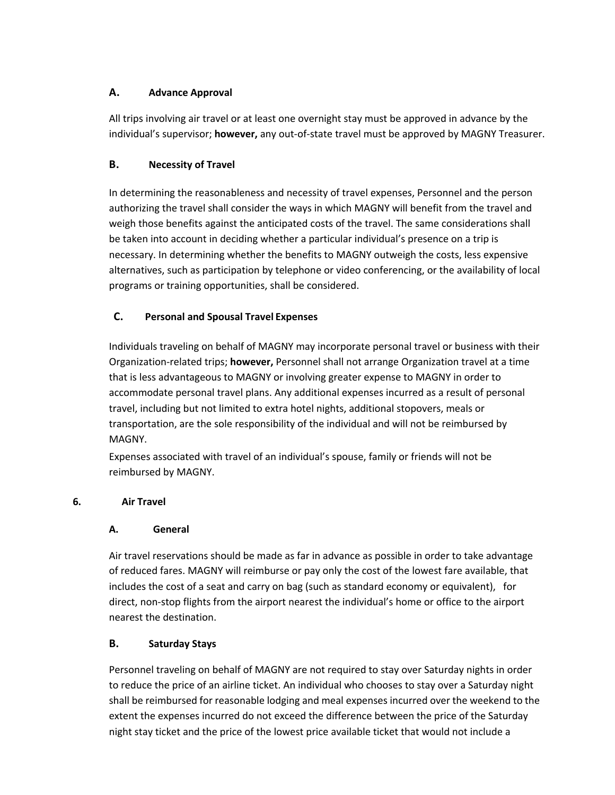## **A. Advance Approval**

All trips involving air travel or at least one overnight stay must be approved in advance by the individual's supervisor; **however,** any out-of-state travel must be approved by MAGNY Treasurer.

## **B. Necessity of Travel**

In determining the reasonableness and necessity of travel expenses, Personnel and the person authorizing the travel shall consider the ways in which MAGNY will benefit from the travel and weigh those benefits against the anticipated costs of the travel. The same considerations shall be taken into account in deciding whether a particular individual's presence on a trip is necessary. In determining whether the benefits to MAGNY outweigh the costs, less expensive alternatives, such as participation by telephone or video conferencing, or the availability of local programs or training opportunities, shall be considered.

## **C. Personal and Spousal Travel Expenses**

Individuals traveling on behalf of MAGNY may incorporate personal travel or business with their Organization-related trips; **however,** Personnel shall not arrange Organization travel at a time that is less advantageous to MAGNY or involving greater expense to MAGNY in order to accommodate personal travel plans. Any additional expenses incurred as a result of personal travel, including but not limited to extra hotel nights, additional stopovers, meals or transportation, are the sole responsibility of the individual and will not be reimbursed by MAGNY.

Expenses associated with travel of an individual's spouse, family or friends will not be reimbursed by MAGNY.

## **6. Air Travel**

## **A. General**

Air travel reservations should be made as far in advance as possible in order to take advantage of reduced fares. MAGNY will reimburse or pay only the cost of the lowest fare available, that includes the cost of a seat and carry on bag (such as standard economy or equivalent), for direct, non-stop flights from the airport nearest the individual's home or office to the airport nearest the destination.

## **B. Saturday Stays**

Personnel traveling on behalf of MAGNY are not required to stay over Saturday nights in order to reduce the price of an airline ticket. An individual who chooses to stay over a Saturday night shall be reimbursed for reasonable lodging and meal expenses incurred over the weekend to the extent the expenses incurred do not exceed the difference between the price of the Saturday night stay ticket and the price of the lowest price available ticket that would not include a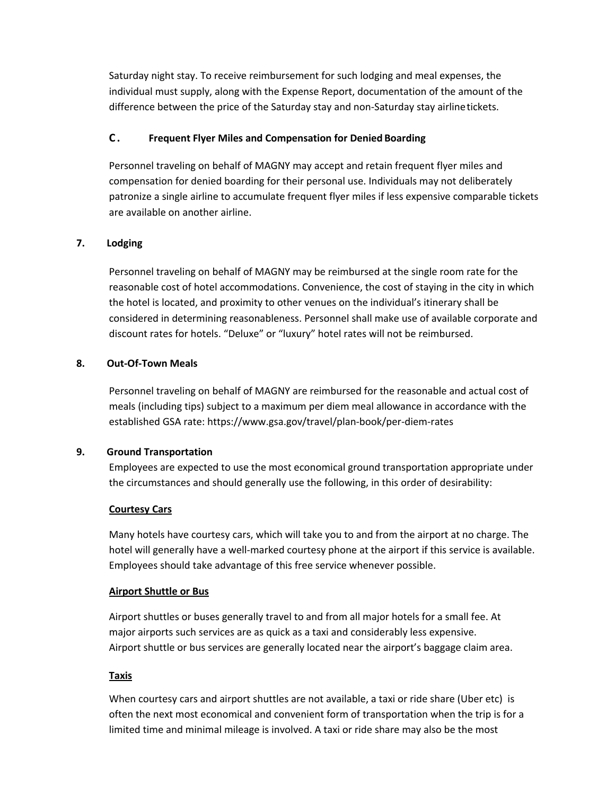Saturday night stay. To receive reimbursement for such lodging and meal expenses, the individual must supply, along with the Expense Report, documentation of the amount of the difference between the price of the Saturday stay and non-Saturday stay airlinetickets.

### **C . Frequent Flyer Miles and Compensation for Denied Boarding**

Personnel traveling on behalf of MAGNY may accept and retain frequent flyer miles and compensation for denied boarding for their personal use. Individuals may not deliberately patronize a single airline to accumulate frequent flyer miles if less expensive comparable tickets are available on another airline.

### **7. Lodging**

Personnel traveling on behalf of MAGNY may be reimbursed at the single room rate for the reasonable cost of hotel accommodations. Convenience, the cost of staying in the city in which the hotel is located, and proximity to other venues on the individual's itinerary shall be considered in determining reasonableness. Personnel shall make use of available corporate and discount rates for hotels. "Deluxe" or "luxury" hotel rates will not be reimbursed.

#### **8. Out-Of-Town Meals**

Personnel traveling on behalf of MAGNY are reimbursed for the reasonable and actual cost of meals (including tips) subject to a maximum per diem meal allowance in accordance with the established GSA rate: https://www.gsa.gov/travel/plan-book/per-diem-rates

#### **9. Ground Transportation**

Employees are expected to use the most economical ground transportation appropriate under the circumstances and should generally use the following, in this order of desirability:

#### **Courtesy Cars**

Many hotels have courtesy cars, which will take you to and from the airport at no charge. The hotel will generally have a well-marked courtesy phone at the airport if this service is available. Employees should take advantage of this free service whenever possible.

#### **Airport Shuttle or Bus**

Airport shuttles or buses generally travel to and from all major hotels for a small fee. At major airports such services are as quick as a taxi and considerably less expensive. Airport shuttle or bus services are generally located near the airport's baggage claim area.

#### **Taxis**

When courtesy cars and airport shuttles are not available, a taxi or ride share (Uber etc) is often the next most economical and convenient form of transportation when the trip is for a limited time and minimal mileage is involved. A taxi or ride share may also be the most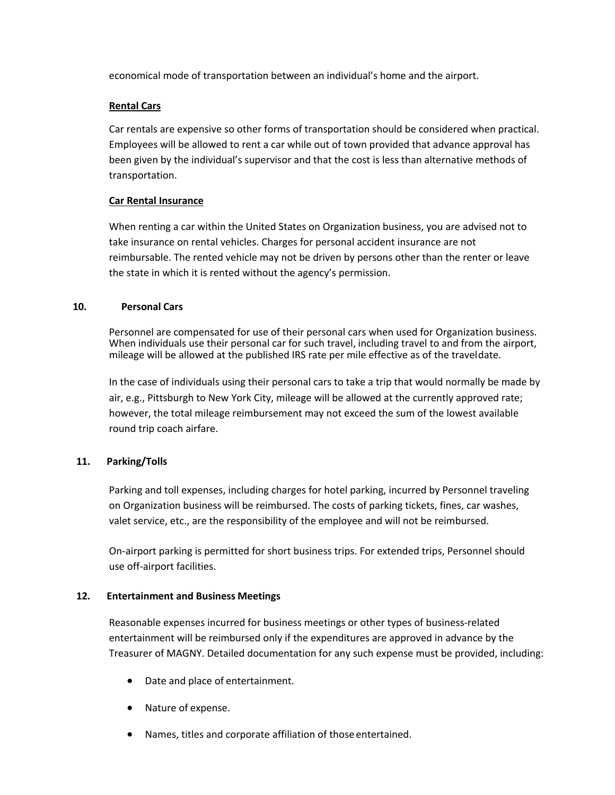economical mode of transportation between an individual's home and the airport.

#### **Rental Cars**

Car rentals are expensive so other forms of transportation should be considered when practical. Employees will be allowed to rent a car while out of town provided that advance approval has been given by the individual's supervisor and that the cost is less than alternative methods of transportation.

#### **Car Rental Insurance**

When renting a car within the United States on Organization business, you are advised not to take insurance on rental vehicles. Charges for personal accident insurance are not reimbursable. The rented vehicle may not be driven by persons other than the renter or leave the state in which it is rented without the agency's permission.

#### **10. Personal Cars**

Personnel are compensated for use of their personal cars when used for Organization business. When individuals use their personal car for such travel, including travel to and from the airport, mileage will be allowed at the published IRS rate per mile effective as of the traveldate.

In the case of individuals using their personal cars to take a trip that would normally be made by air, e.g., Pittsburgh to New York City, mileage will be allowed at the currently approved rate; however, the total mileage reimbursement may not exceed the sum of the lowest available round trip coach airfare.

#### **11. Parking/Tolls**

Parking and toll expenses, including charges for hotel parking, incurred by Personnel traveling on Organization business will be reimbursed. The costs of parking tickets, fines, car washes, valet service, etc., are the responsibility of the employee and will not be reimbursed.

On-airport parking is permitted for short business trips. For extended trips, Personnel should use off-airport facilities.

#### **12. Entertainment and Business Meetings**

Reasonable expenses incurred for business meetings or other types of business-related entertainment will be reimbursed only if the expenditures are approved in advance by the Treasurer of MAGNY. Detailed documentation for any such expense must be provided, including:

- Date and place of entertainment.
- Nature of expense.
- Names, titles and corporate affiliation of those entertained.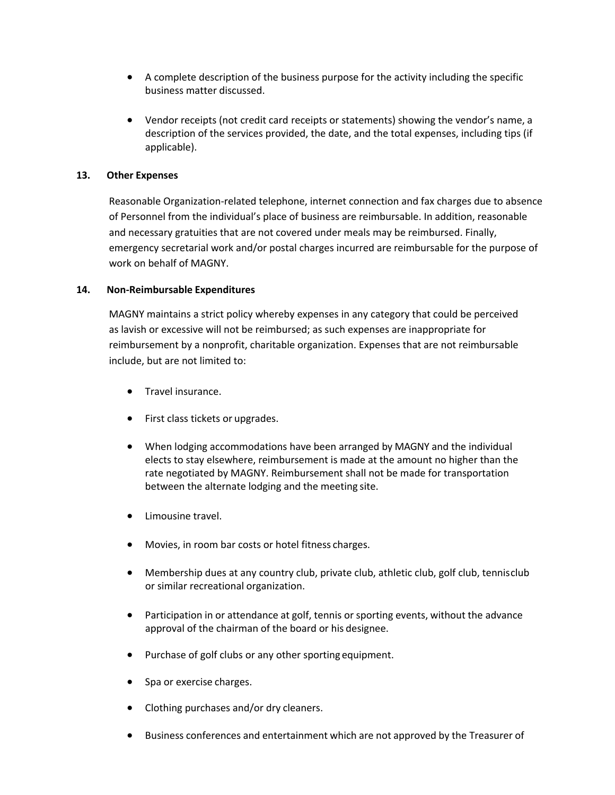- A complete description of the business purpose for the activity including the specific business matter discussed.
- Vendor receipts (not credit card receipts or statements) showing the vendor's name, a description of the services provided, the date, and the total expenses, including tips (if applicable).

#### **13. Other Expenses**

Reasonable Organization-related telephone, internet connection and fax charges due to absence of Personnel from the individual's place of business are reimbursable. In addition, reasonable and necessary gratuities that are not covered under meals may be reimbursed. Finally, emergency secretarial work and/or postal charges incurred are reimbursable for the purpose of work on behalf of MAGNY.

#### **14. Non-Reimbursable Expenditures**

MAGNY maintains a strict policy whereby expenses in any category that could be perceived as lavish or excessive will not be reimbursed; as such expenses are inappropriate for reimbursement by a nonprofit, charitable organization. Expenses that are not reimbursable include, but are not limited to:

- Travel insurance.
- First class tickets or upgrades.
- When lodging accommodations have been arranged by MAGNY and the individual elects to stay elsewhere, reimbursement is made at the amount no higher than the rate negotiated by MAGNY. Reimbursement shall not be made for transportation between the alternate lodging and the meeting site.
- Limousine travel.
- Movies, in room bar costs or hotel fitness charges.
- Membership dues at any country club, private club, athletic club, golf club, tennisclub or similar recreational organization.
- Participation in or attendance at golf, tennis or sporting events, without the advance approval of the chairman of the board or his designee.
- Purchase of golf clubs or any other sporting equipment.
- Spa or exercise charges.
- Clothing purchases and/or dry cleaners.
- Business conferences and entertainment which are not approved by the Treasurer of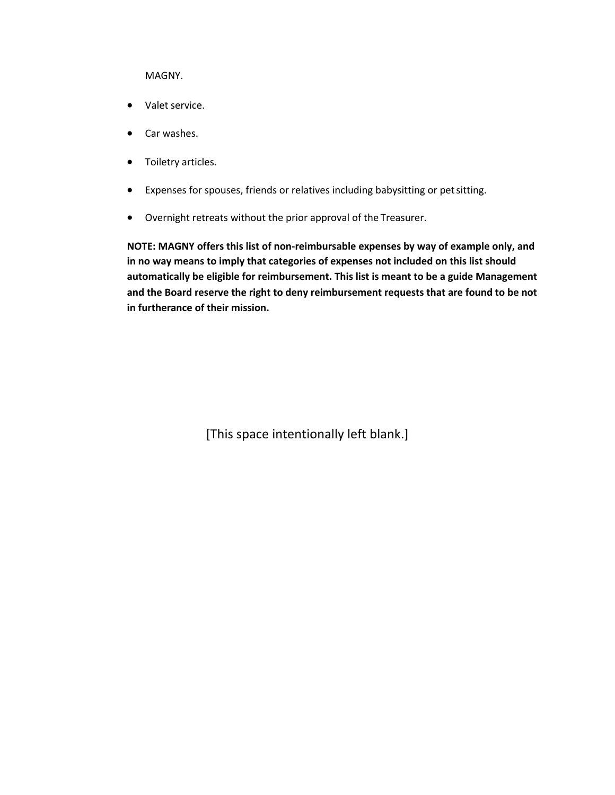MAGNY.

- Valet service.
- Car washes.
- Toiletry articles.
- Expenses for spouses, friends or relatives including babysitting or petsitting.
- Overnight retreats without the prior approval of the Treasurer.

**NOTE: MAGNY offers this list of non-reimbursable expenses by way of example only, and in no way means to imply that categories of expenses not included on this list should automatically be eligible for reimbursement. This list is meant to be a guide Management and the Board reserve the right to deny reimbursement requests that are found to be not in furtherance of their mission.**

[This space intentionally left blank.]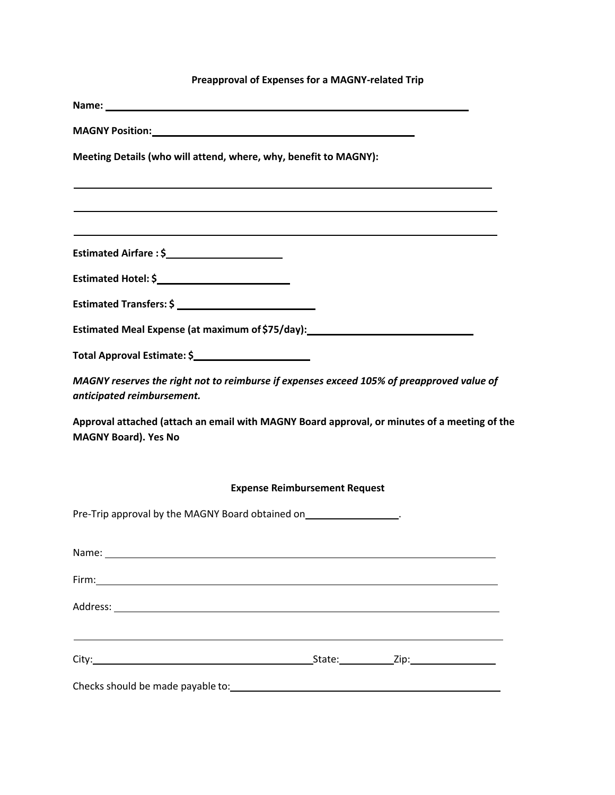# **Preapproval of Expenses for a MAGNY-related Trip**

| MAGNY Position: National Account of the Contract of the Contract of the Contract of the Contract of the Contract of the Contract of the Contract of the Contract of the Contract of the Contract of the Contract of the Contra |                                      |  |
|--------------------------------------------------------------------------------------------------------------------------------------------------------------------------------------------------------------------------------|--------------------------------------|--|
| Meeting Details (who will attend, where, why, benefit to MAGNY):                                                                                                                                                               |                                      |  |
|                                                                                                                                                                                                                                |                                      |  |
| Estimated Airfare: \$                                                                                                                                                                                                          |                                      |  |
|                                                                                                                                                                                                                                |                                      |  |
|                                                                                                                                                                                                                                |                                      |  |
| Estimated Meal Expense (at maximum of \$75/day): ________________________________                                                                                                                                              |                                      |  |
|                                                                                                                                                                                                                                |                                      |  |
| MAGNY reserves the right not to reimburse if expenses exceed 105% of preapproved value of<br>anticipated reimbursement.                                                                                                        |                                      |  |
| Approval attached (attach an email with MAGNY Board approval, or minutes of a meeting of the<br><b>MAGNY Board). Yes No</b>                                                                                                    |                                      |  |
|                                                                                                                                                                                                                                | <b>Expense Reimbursement Request</b> |  |
| Pre-Trip approval by the MAGNY Board obtained on__________________.                                                                                                                                                            |                                      |  |
|                                                                                                                                                                                                                                |                                      |  |
|                                                                                                                                                                                                                                |                                      |  |
|                                                                                                                                                                                                                                |                                      |  |
| ,我们也不能在这里的时候,我们也不能会在这里,我们也不能会在这里的时候,我们也不能会在这里的时候,我们也不能会在这里的时候,我们也不能会在这里的时候,我们也不能                                                                                                                                               |                                      |  |
|                                                                                                                                                                                                                                |                                      |  |